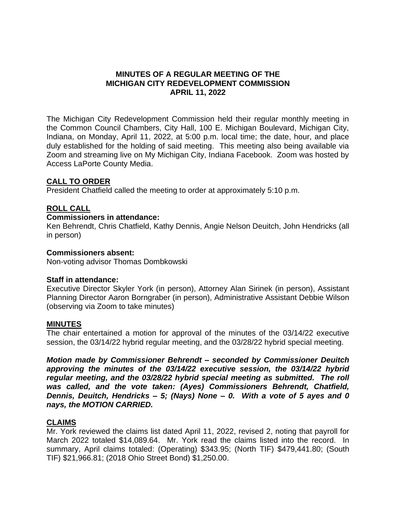# **MINUTES OF A REGULAR MEETING OF THE MICHIGAN CITY REDEVELOPMENT COMMISSION APRIL 11, 2022**

The Michigan City Redevelopment Commission held their regular monthly meeting in the Common Council Chambers, City Hall, 100 E. Michigan Boulevard, Michigan City, Indiana, on Monday, April 11, 2022, at 5:00 p.m. local time; the date, hour, and place duly established for the holding of said meeting. This meeting also being available via Zoom and streaming live on My Michigan City, Indiana Facebook. Zoom was hosted by Access LaPorte County Media.

# **CALL TO ORDER**

President Chatfield called the meeting to order at approximately 5:10 p.m.

# **ROLL CALL**

#### **Commissioners in attendance:**

Ken Behrendt, Chris Chatfield, Kathy Dennis, Angie Nelson Deuitch, John Hendricks (all in person)

#### **Commissioners absent:**

Non-voting advisor Thomas Dombkowski

# **Staff in attendance:**

Executive Director Skyler York (in person), Attorney Alan Sirinek (in person), Assistant Planning Director Aaron Borngraber (in person), Administrative Assistant Debbie Wilson (observing via Zoom to take minutes)

# **MINUTES**

The chair entertained a motion for approval of the minutes of the 03/14/22 executive session, the 03/14/22 hybrid regular meeting, and the 03/28/22 hybrid special meeting.

*Motion made by Commissioner Behrendt – seconded by Commissioner Deuitch approving the minutes of the 03/14/22 executive session, the 03/14/22 hybrid regular meeting, and the 03/28/22 hybrid special meeting as submitted. The roll was called, and the vote taken: (Ayes) Commissioners Behrendt, Chatfield, Dennis, Deuitch, Hendricks – 5; (Nays) None – 0. With a vote of 5 ayes and 0 nays, the MOTION CARRIED.*

# **CLAIMS**

Mr. York reviewed the claims list dated April 11, 2022, revised 2, noting that payroll for March 2022 totaled \$14,089.64. Mr. York read the claims listed into the record. In summary, April claims totaled: (Operating) \$343.95; (North TIF) \$479,441.80; (South TIF) \$21,966.81; (2018 Ohio Street Bond) \$1,250.00.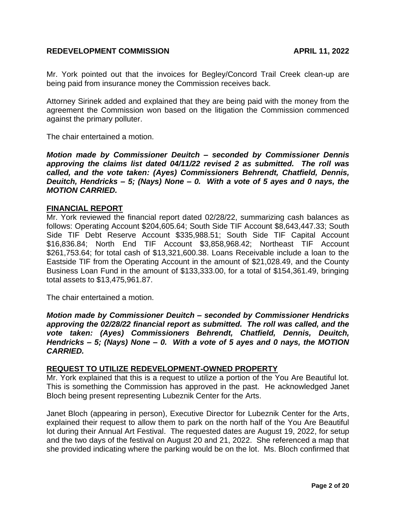Mr. York pointed out that the invoices for Begley/Concord Trail Creek clean-up are being paid from insurance money the Commission receives back.

Attorney Sirinek added and explained that they are being paid with the money from the agreement the Commission won based on the litigation the Commission commenced against the primary polluter.

The chair entertained a motion.

*Motion made by Commissioner Deuitch – seconded by Commissioner Dennis approving the claims list dated 04/11/22 revised 2 as submitted. The roll was called, and the vote taken: (Ayes) Commissioners Behrendt, Chatfield, Dennis, Deuitch, Hendricks – 5; (Nays) None – 0. With a vote of 5 ayes and 0 nays, the MOTION CARRIED.*

#### **FINANCIAL REPORT**

Mr. York reviewed the financial report dated 02/28/22, summarizing cash balances as follows: Operating Account \$204,605.64; South Side TIF Account \$8,643,447.33; South Side TIF Debt Reserve Account \$335,988.51; South Side TIF Capital Account \$16,836.84; North End TIF Account \$3,858,968.42; Northeast TIF Account \$261,753.64; for total cash of \$13,321,600.38. Loans Receivable include a loan to the Eastside TIF from the Operating Account in the amount of \$21,028.49, and the County Business Loan Fund in the amount of \$133,333.00, for a total of \$154,361.49, bringing total assets to \$13,475,961.87.

The chair entertained a motion.

*Motion made by Commissioner Deuitch – seconded by Commissioner Hendricks approving the 02/28/22 financial report as submitted. The roll was called, and the vote taken: (Ayes) Commissioners Behrendt, Chatfield, Dennis, Deuitch, Hendricks – 5; (Nays) None – 0. With a vote of 5 ayes and 0 nays, the MOTION CARRIED.*

#### **REQUEST TO UTILIZE REDEVELOPMENT-OWNED PROPERTY**

Mr. York explained that this is a request to utilize a portion of the You Are Beautiful lot. This is something the Commission has approved in the past. He acknowledged Janet Bloch being present representing Lubeznik Center for the Arts.

Janet Bloch (appearing in person), Executive Director for Lubeznik Center for the Arts, explained their request to allow them to park on the north half of the You Are Beautiful lot during their Annual Art Festival. The requested dates are August 19, 2022, for setup and the two days of the festival on August 20 and 21, 2022. She referenced a map that she provided indicating where the parking would be on the lot. Ms. Bloch confirmed that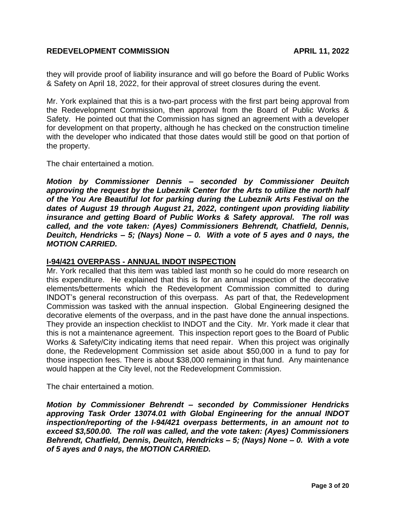they will provide proof of liability insurance and will go before the Board of Public Works & Safety on April 18, 2022, for their approval of street closures during the event.

Mr. York explained that this is a two-part process with the first part being approval from the Redevelopment Commission, then approval from the Board of Public Works & Safety. He pointed out that the Commission has signed an agreement with a developer for development on that property, although he has checked on the construction timeline with the developer who indicated that those dates would still be good on that portion of the property.

The chair entertained a motion.

*Motion by Commissioner Dennis – seconded by Commissioner Deuitch approving the request by the Lubeznik Center for the Arts to utilize the north half of the You Are Beautiful lot for parking during the Lubeznik Arts Festival on the dates of August 19 through August 21, 2022, contingent upon providing liability insurance and getting Board of Public Works & Safety approval. The roll was called, and the vote taken: (Ayes) Commissioners Behrendt, Chatfield, Dennis, Deuitch, Hendricks – 5; (Nays) None – 0. With a vote of 5 ayes and 0 nays, the MOTION CARRIED.*

# **I-94/421 OVERPASS - ANNUAL INDOT INSPECTION**

Mr. York recalled that this item was tabled last month so he could do more research on this expenditure. He explained that this is for an annual inspection of the decorative elements/betterments which the Redevelopment Commission committed to during INDOT's general reconstruction of this overpass. As part of that, the Redevelopment Commission was tasked with the annual inspection. Global Engineering designed the decorative elements of the overpass, and in the past have done the annual inspections. They provide an inspection checklist to INDOT and the City. Mr. York made it clear that this is not a maintenance agreement. This inspection report goes to the Board of Public Works & Safety/City indicating items that need repair. When this project was originally done, the Redevelopment Commission set aside about \$50,000 in a fund to pay for those inspection fees. There is about \$38,000 remaining in that fund. Any maintenance would happen at the City level, not the Redevelopment Commission.

The chair entertained a motion.

*Motion by Commissioner Behrendt – seconded by Commissioner Hendricks approving Task Order 13074.01 with Global Engineering for the annual INDOT inspection/reporting of the I-94/421 overpass betterments, in an amount not to exceed \$3,500.00. The roll was called, and the vote taken: (Ayes) Commissioners Behrendt, Chatfield, Dennis, Deuitch, Hendricks – 5; (Nays) None – 0. With a vote of 5 ayes and 0 nays, the MOTION CARRIED.*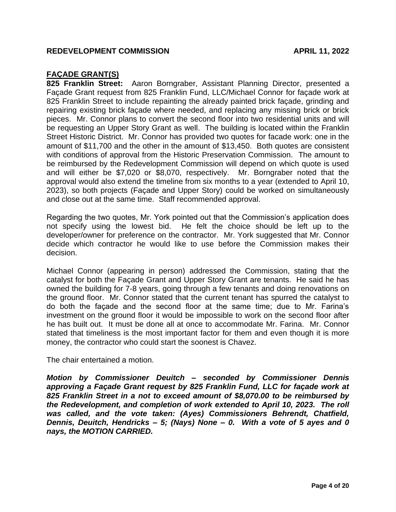# **FAÇADE GRANT(S)**

**825 Franklin Street:** Aaron Borngraber, Assistant Planning Director, presented a Façade Grant request from 825 Franklin Fund, LLC/Michael Connor for façade work at 825 Franklin Street to include repainting the already painted brick façade, grinding and repairing existing brick façade where needed, and replacing any missing brick or brick pieces. Mr. Connor plans to convert the second floor into two residential units and will be requesting an Upper Story Grant as well. The building is located within the Franklin Street Historic District. Mr. Connor has provided two quotes for facade work: one in the amount of \$11,700 and the other in the amount of \$13,450. Both quotes are consistent with conditions of approval from the Historic Preservation Commission. The amount to be reimbursed by the Redevelopment Commission will depend on which quote is used and will either be \$7,020 or \$8,070, respectively. Mr. Borngraber noted that the approval would also extend the timeline from six months to a year (extended to April 10, 2023), so both projects (Façade and Upper Story) could be worked on simultaneously and close out at the same time. Staff recommended approval.

Regarding the two quotes, Mr. York pointed out that the Commission's application does not specify using the lowest bid. He felt the choice should be left up to the developer/owner for preference on the contractor. Mr. York suggested that Mr. Connor decide which contractor he would like to use before the Commission makes their decision.

Michael Connor (appearing in person) addressed the Commission, stating that the catalyst for both the Façade Grant and Upper Story Grant are tenants. He said he has owned the building for 7-8 years, going through a few tenants and doing renovations on the ground floor. Mr. Connor stated that the current tenant has spurred the catalyst to do both the façade and the second floor at the same time; due to Mr. Farina's investment on the ground floor it would be impossible to work on the second floor after he has built out. It must be done all at once to accommodate Mr. Farina. Mr. Connor stated that timeliness is the most important factor for them and even though it is more money, the contractor who could start the soonest is Chavez.

The chair entertained a motion.

*Motion by Commissioner Deuitch – seconded by Commissioner Dennis approving a Façade Grant request by 825 Franklin Fund, LLC for façade work at 825 Franklin Street in a not to exceed amount of \$8,070.00 to be reimbursed by the Redevelopment, and completion of work extended to April 10, 2023. The roll was called, and the vote taken: (Ayes) Commissioners Behrendt, Chatfield, Dennis, Deuitch, Hendricks – 5; (Nays) None – 0. With a vote of 5 ayes and 0 nays, the MOTION CARRIED.*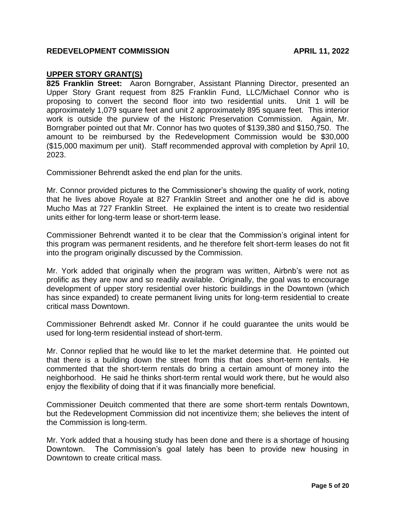# **UPPER STORY GRANT(S)**

**825 Franklin Street:** Aaron Borngraber, Assistant Planning Director, presented an Upper Story Grant request from 825 Franklin Fund, LLC/Michael Connor who is proposing to convert the second floor into two residential units. Unit 1 will be approximately 1,079 square feet and unit 2 approximately 895 square feet. This interior work is outside the purview of the Historic Preservation Commission. Again, Mr. Borngraber pointed out that Mr. Connor has two quotes of \$139,380 and \$150,750. The amount to be reimbursed by the Redevelopment Commission would be \$30,000 (\$15,000 maximum per unit). Staff recommended approval with completion by April 10, 2023.

Commissioner Behrendt asked the end plan for the units.

Mr. Connor provided pictures to the Commissioner's showing the quality of work, noting that he lives above Royale at 827 Franklin Street and another one he did is above Mucho Mas at 727 Franklin Street. He explained the intent is to create two residential units either for long-term lease or short-term lease.

Commissioner Behrendt wanted it to be clear that the Commission's original intent for this program was permanent residents, and he therefore felt short-term leases do not fit into the program originally discussed by the Commission.

Mr. York added that originally when the program was written, Airbnb's were not as prolific as they are now and so readily available. Originally, the goal was to encourage development of upper story residential over historic buildings in the Downtown (which has since expanded) to create permanent living units for long-term residential to create critical mass Downtown.

Commissioner Behrendt asked Mr. Connor if he could guarantee the units would be used for long-term residential instead of short-term.

Mr. Connor replied that he would like to let the market determine that. He pointed out that there is a building down the street from this that does short-term rentals. He commented that the short-term rentals do bring a certain amount of money into the neighborhood. He said he thinks short-term rental would work there, but he would also enjoy the flexibility of doing that if it was financially more beneficial.

Commissioner Deuitch commented that there are some short-term rentals Downtown, but the Redevelopment Commission did not incentivize them; she believes the intent of the Commission is long-term.

Mr. York added that a housing study has been done and there is a shortage of housing Downtown. The Commission's goal lately has been to provide new housing in Downtown to create critical mass.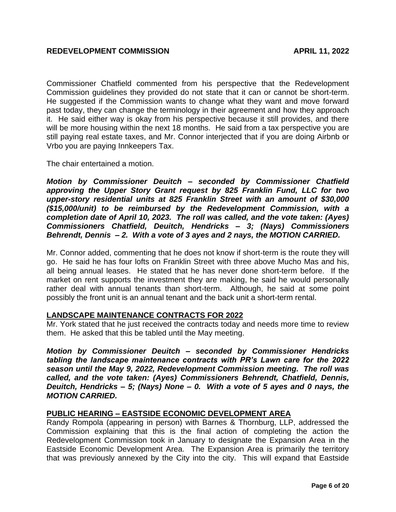Commissioner Chatfield commented from his perspective that the Redevelopment Commission guidelines they provided do not state that it can or cannot be short-term. He suggested if the Commission wants to change what they want and move forward past today, they can change the terminology in their agreement and how they approach it. He said either way is okay from his perspective because it still provides, and there will be more housing within the next 18 months. He said from a tax perspective you are still paying real estate taxes, and Mr. Connor interjected that if you are doing Airbnb or Vrbo you are paying Innkeepers Tax.

The chair entertained a motion.

*Motion by Commissioner Deuitch – seconded by Commissioner Chatfield approving the Upper Story Grant request by 825 Franklin Fund, LLC for two upper-story residential units at 825 Franklin Street with an amount of \$30,000 (\$15,000/unit) to be reimbursed by the Redevelopment Commission, with a completion date of April 10, 2023. The roll was called, and the vote taken: (Ayes) Commissioners Chatfield, Deuitch, Hendricks – 3; (Nays) Commissioners Behrendt, Dennis – 2. With a vote of 3 ayes and 2 nays, the MOTION CARRIED.*

Mr. Connor added, commenting that he does not know if short-term is the route they will go. He said he has four lofts on Franklin Street with three above Mucho Mas and his, all being annual leases. He stated that he has never done short-term before. If the market on rent supports the investment they are making, he said he would personally rather deal with annual tenants than short-term. Although, he said at some point possibly the front unit is an annual tenant and the back unit a short-term rental.

# **LANDSCAPE MAINTENANCE CONTRACTS FOR 2022**

Mr. York stated that he just received the contracts today and needs more time to review them. He asked that this be tabled until the May meeting.

*Motion by Commissioner Deuitch – seconded by Commissioner Hendricks tabling the landscape maintenance contracts with PR's Lawn care for the 2022 season until the May 9, 2022, Redevelopment Commission meeting. The roll was called, and the vote taken: (Ayes) Commissioners Behrendt, Chatfield, Dennis, Deuitch, Hendricks – 5; (Nays) None – 0. With a vote of 5 ayes and 0 nays, the MOTION CARRIED.*

# **PUBLIC HEARING – EASTSIDE ECONOMIC DEVELOPMENT AREA**

Randy Rompola (appearing in person) with Barnes & Thornburg, LLP, addressed the Commission explaining that this is the final action of completing the action the Redevelopment Commission took in January to designate the Expansion Area in the Eastside Economic Development Area. The Expansion Area is primarily the territory that was previously annexed by the City into the city. This will expand that Eastside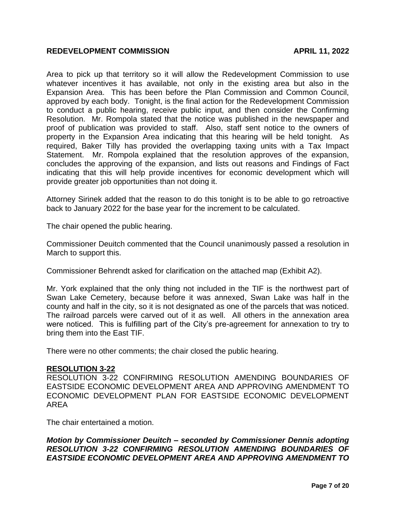Area to pick up that territory so it will allow the Redevelopment Commission to use whatever incentives it has available, not only in the existing area but also in the Expansion Area. This has been before the Plan Commission and Common Council, approved by each body. Tonight, is the final action for the Redevelopment Commission to conduct a public hearing, receive public input, and then consider the Confirming Resolution. Mr. Rompola stated that the notice was published in the newspaper and proof of publication was provided to staff. Also, staff sent notice to the owners of property in the Expansion Area indicating that this hearing will be held tonight. As required, Baker Tilly has provided the overlapping taxing units with a Tax Impact Statement. Mr. Rompola explained that the resolution approves of the expansion, concludes the approving of the expansion, and lists out reasons and Findings of Fact indicating that this will help provide incentives for economic development which will provide greater job opportunities than not doing it.

Attorney Sirinek added that the reason to do this tonight is to be able to go retroactive back to January 2022 for the base year for the increment to be calculated.

The chair opened the public hearing.

Commissioner Deuitch commented that the Council unanimously passed a resolution in March to support this.

Commissioner Behrendt asked for clarification on the attached map (Exhibit A2).

Mr. York explained that the only thing not included in the TIF is the northwest part of Swan Lake Cemetery, because before it was annexed, Swan Lake was half in the county and half in the city, so it is not designated as one of the parcels that was noticed. The railroad parcels were carved out of it as well. All others in the annexation area were noticed. This is fulfilling part of the City's pre-agreement for annexation to try to bring them into the East TIF.

There were no other comments; the chair closed the public hearing.

#### **RESOLUTION 3-22**

RESOLUTION 3-22 CONFIRMING RESOLUTION AMENDING BOUNDARIES OF EASTSIDE ECONOMIC DEVELOPMENT AREA AND APPROVING AMENDMENT TO ECONOMIC DEVELOPMENT PLAN FOR EASTSIDE ECONOMIC DEVELOPMENT AREA

The chair entertained a motion.

# *Motion by Commissioner Deuitch – seconded by Commissioner Dennis adopting RESOLUTION 3-22 CONFIRMING RESOLUTION AMENDING BOUNDARIES OF EASTSIDE ECONOMIC DEVELOPMENT AREA AND APPROVING AMENDMENT TO*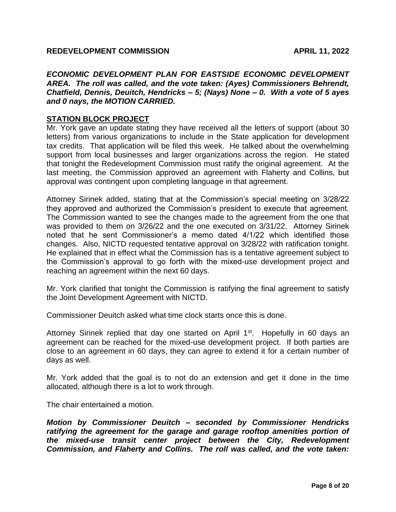*ECONOMIC DEVELOPMENT PLAN FOR EASTSIDE ECONOMIC DEVELOPMENT AREA. The roll was called, and the vote taken: (Ayes) Commissioners Behrendt, Chatfield, Dennis, Deuitch, Hendricks – 5; (Nays) None – 0. With a vote of 5 ayes and 0 nays, the MOTION CARRIED.*

# **STATION BLOCK PROJECT**

Mr. York gave an update stating they have received all the letters of support (about 30 letters) from various organizations to include in the State application for development tax credits. That application will be filed this week. He talked about the overwhelming support from local businesses and larger organizations across the region. He stated that tonight the Redevelopment Commission must ratify the original agreement. At the last meeting, the Commission approved an agreement with Flaherty and Collins, but approval was contingent upon completing language in that agreement.

Attorney Sirinek added, stating that at the Commission's special meeting on 3/28/22 they approved and authorized the Commission's president to execute that agreement. The Commission wanted to see the changes made to the agreement from the one that was provided to them on 3/26/22 and the one executed on 3/31/22. Attorney Sirinek noted that he sent Commissioner's a memo dated 4/1/22 which identified those changes. Also, NICTD requested tentative approval on 3/28/22 with ratification tonight. He explained that in effect what the Commission has is a tentative agreement subject to the Commission's approval to go forth with the mixed-use development project and reaching an agreement within the next 60 days.

Mr. York clarified that tonight the Commission is ratifying the final agreement to satisfy the Joint Development Agreement with NICTD.

Commissioner Deuitch asked what time clock starts once this is done.

Attorney Sirinek replied that day one started on April  $1<sup>st</sup>$ . Hopefully in 60 days an agreement can be reached for the mixed-use development project. If both parties are close to an agreement in 60 days, they can agree to extend it for a certain number of days as well.

Mr. York added that the goal is to not do an extension and get it done in the time allocated, although there is a lot to work through.

The chair entertained a motion.

*Motion by Commissioner Deuitch – seconded by Commissioner Hendricks ratifying the agreement for the garage and garage rooftop amenities portion of the mixed-use transit center project between the City, Redevelopment Commission, and Flaherty and Collins. The roll was called, and the vote taken:*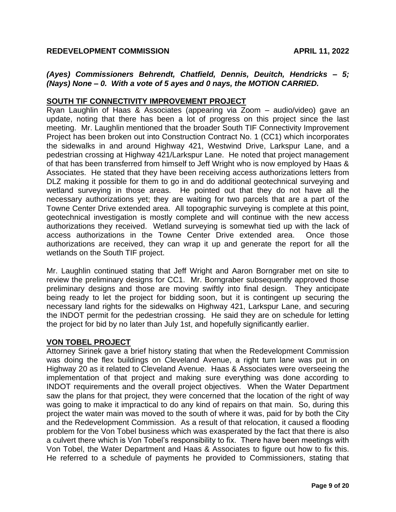# *(Ayes) Commissioners Behrendt, Chatfield, Dennis, Deuitch, Hendricks – 5; (Nays) None – 0. With a vote of 5 ayes and 0 nays, the MOTION CARRIED.*

# **SOUTH TIF CONNECTIVITY IMPROVEMENT PROJECT**

Ryan Laughlin of Haas & Associates (appearing via Zoom – audio/video) gave an update, noting that there has been a lot of progress on this project since the last meeting. Mr. Laughlin mentioned that the broader South TIF Connectivity Improvement Project has been broken out into Construction Contract No. 1 (CC1) which incorporates the sidewalks in and around Highway 421, Westwind Drive, Larkspur Lane, and a pedestrian crossing at Highway 421/Larkspur Lane. He noted that project management of that has been transferred from himself to Jeff Wright who is now employed by Haas & Associates. He stated that they have been receiving access authorizations letters from DLZ making it possible for them to go in and do additional geotechnical surveying and wetland surveying in those areas. He pointed out that they do not have all the necessary authorizations yet; they are waiting for two parcels that are a part of the Towne Center Drive extended area. All topographic surveying is complete at this point, geotechnical investigation is mostly complete and will continue with the new access authorizations they received. Wetland surveying is somewhat tied up with the lack of access authorizations in the Towne Center Drive extended area. Once those authorizations are received, they can wrap it up and generate the report for all the wetlands on the South TIF project.

Mr. Laughlin continued stating that Jeff Wright and Aaron Borngraber met on site to review the preliminary designs for CC1. Mr. Borngraber subsequently approved those preliminary designs and those are moving swiftly into final design. They anticipate being ready to let the project for bidding soon, but it is contingent up securing the necessary land rights for the sidewalks on Highway 421, Larkspur Lane, and securing the INDOT permit for the pedestrian crossing. He said they are on schedule for letting the project for bid by no later than July 1st, and hopefully significantly earlier.

# **VON TOBEL PROJECT**

Attorney Sirinek gave a brief history stating that when the Redevelopment Commission was doing the flex buildings on Cleveland Avenue, a right turn lane was put in on Highway 20 as it related to Cleveland Avenue. Haas & Associates were overseeing the implementation of that project and making sure everything was done according to INDOT requirements and the overall project objectives. When the Water Department saw the plans for that project, they were concerned that the location of the right of way was going to make it impractical to do any kind of repairs on that main. So, during this project the water main was moved to the south of where it was, paid for by both the City and the Redevelopment Commission. As a result of that relocation, it caused a flooding problem for the Von Tobel business which was exasperated by the fact that there is also a culvert there which is Von Tobel's responsibility to fix. There have been meetings with Von Tobel, the Water Department and Haas & Associates to figure out how to fix this. He referred to a schedule of payments he provided to Commissioners, stating that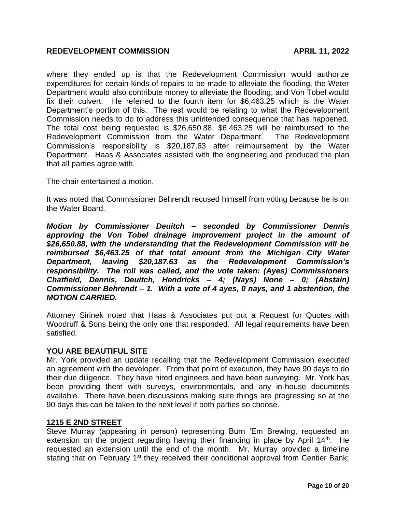where they ended up is that the Redevelopment Commission would authorize expenditures for certain kinds of repairs to be made to alleviate the flooding, the Water Department would also contribute money to alleviate the flooding, and Von Tobel would fix their culvert. He referred to the fourth item for \$6,463.25 which is the Water Department's portion of this. The rest would be relating to what the Redevelopment Commission needs to do to address this unintended consequence that has happened. The total cost being requested is \$26,650.88. \$6,463.25 will be reimbursed to the Redevelopment Commission from the Water Department. The Redevelopment Commission's responsibility is \$20,187.63 after reimbursement by the Water Department. Haas & Associates assisted with the engineering and produced the plan that all parties agree with.

The chair entertained a motion.

It was noted that Commissioner Behrendt recused himself from voting because he is on the Water Board.

*Motion by Commissioner Deuitch – seconded by Commissioner Dennis approving the Von Tobel drainage improvement project in the amount of \$26,650.88, with the understanding that the Redevelopment Commission will be reimbursed \$6,463.25 of that total amount from the Michigan City Water Department, leaving \$20,187.63 as the Redevelopment Commission's responsibility. The roll was called, and the vote taken: (Ayes) Commissioners Chatfield, Dennis, Deuitch, Hendricks – 4; (Nays) None – 0; (Abstain) Commissioner Behrendt – 1. With a vote of 4 ayes, 0 nays, and 1 abstention, the MOTION CARRIED.*

Attorney Sirinek noted that Haas & Associates put out a Request for Quotes with Woodruff & Sons being the only one that responded. All legal requirements have been satisfied.

# **YOU ARE BEAUTIFUL SITE**

Mr. York provided an update recalling that the Redevelopment Commission executed an agreement with the developer. From that point of execution, they have 90 days to do their due diligence. They have hired engineers and have been surveying. Mr. York has been providing them with surveys, environmentals, and any in-house documents available. There have been discussions making sure things are progressing so at the 90 days this can be taken to the next level if both parties so choose.

# **1215 E 2ND STREET**

Steve Murray (appearing in person) representing Burn 'Em Brewing, requested an extension on the project regarding having their financing in place by April 14<sup>th</sup>. He requested an extension until the end of the month. Mr. Murray provided a timeline stating that on February 1<sup>st</sup> they received their conditional approval from Centier Bank;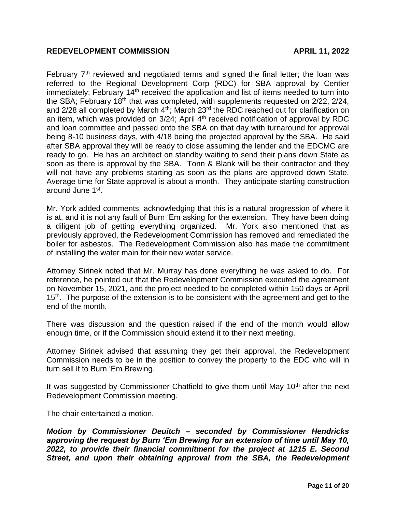February  $7<sup>th</sup>$  reviewed and negotiated terms and signed the final letter; the loan was referred to the Regional Development Corp (RDC) for SBA approval by Centier immediately; February 14<sup>th</sup> received the application and list of items needed to turn into the SBA; February 18<sup>th</sup> that was completed, with supplements requested on  $2/22$ ,  $2/24$ , and 2/28 all completed by March 4<sup>th</sup>; March 23<sup>rd</sup> the RDC reached out for clarification on an item, which was provided on 3/24; April 4<sup>th</sup> received notification of approval by RDC and loan committee and passed onto the SBA on that day with turnaround for approval being 8-10 business days, with 4/18 being the projected approval by the SBA. He said after SBA approval they will be ready to close assuming the lender and the EDCMC are ready to go. He has an architect on standby waiting to send their plans down State as soon as there is approval by the SBA. Tonn & Blank will be their contractor and they will not have any problems starting as soon as the plans are approved down State. Average time for State approval is about a month. They anticipate starting construction around June 1st.

Mr. York added comments, acknowledging that this is a natural progression of where it is at, and it is not any fault of Burn 'Em asking for the extension. They have been doing a diligent job of getting everything organized. Mr. York also mentioned that as previously approved, the Redevelopment Commission has removed and remediated the boiler for asbestos. The Redevelopment Commission also has made the commitment of installing the water main for their new water service.

Attorney Sirinek noted that Mr. Murray has done everything he was asked to do. For reference, he pointed out that the Redevelopment Commission executed the agreement on November 15, 2021, and the project needed to be completed within 150 days or April  $15<sup>th</sup>$ . The purpose of the extension is to be consistent with the agreement and get to the end of the month.

There was discussion and the question raised if the end of the month would allow enough time, or if the Commission should extend it to their next meeting.

Attorney Sirinek advised that assuming they get their approval, the Redevelopment Commission needs to be in the position to convey the property to the EDC who will in turn sell it to Burn 'Em Brewing.

It was suggested by Commissioner Chatfield to give them until May  $10<sup>th</sup>$  after the next Redevelopment Commission meeting.

The chair entertained a motion.

*Motion by Commissioner Deuitch – seconded by Commissioner Hendricks approving the request by Burn 'Em Brewing for an extension of time until May 10, 2022, to provide their financial commitment for the project at 1215 E. Second Street, and upon their obtaining approval from the SBA, the Redevelopment*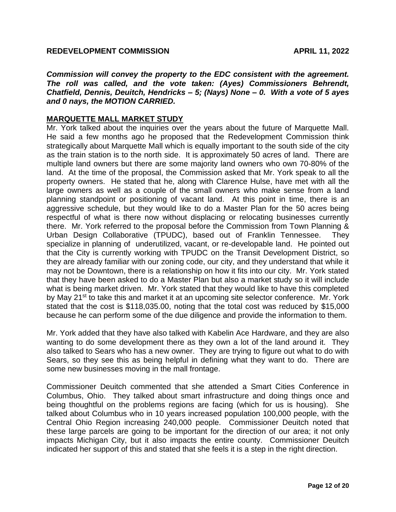*Commission will convey the property to the EDC consistent with the agreement. The roll was called, and the vote taken: (Ayes) Commissioners Behrendt, Chatfield, Dennis, Deuitch, Hendricks – 5; (Nays) None – 0. With a vote of 5 ayes and 0 nays, the MOTION CARRIED.*

# **MARQUETTE MALL MARKET STUDY**

Mr. York talked about the inquiries over the years about the future of Marquette Mall. He said a few months ago he proposed that the Redevelopment Commission think strategically about Marquette Mall which is equally important to the south side of the city as the train station is to the north side. It is approximately 50 acres of land. There are multiple land owners but there are some majority land owners who own 70-80% of the land. At the time of the proposal, the Commission asked that Mr. York speak to all the property owners. He stated that he, along with Clarence Hulse, have met with all the large owners as well as a couple of the small owners who make sense from a land planning standpoint or positioning of vacant land. At this point in time, there is an aggressive schedule, but they would like to do a Master Plan for the 50 acres being respectful of what is there now without displacing or relocating businesses currently there. Mr. York referred to the proposal before the Commission from Town Planning & Urban Design Collaborative (TPUDC), based out of Franklin Tennessee. They specialize in planning of underutilized, vacant, or re-developable land. He pointed out that the City is currently working with TPUDC on the Transit Development District, so they are already familiar with our zoning code, our city, and they understand that while it may not be Downtown, there is a relationship on how it fits into our city. Mr. York stated that they have been asked to do a Master Plan but also a market study so it will include what is being market driven. Mr. York stated that they would like to have this completed by May 21<sup>st</sup> to take this and market it at an upcoming site selector conference. Mr. York stated that the cost is \$118,035.00, noting that the total cost was reduced by \$15,000 because he can perform some of the due diligence and provide the information to them.

Mr. York added that they have also talked with Kabelin Ace Hardware, and they are also wanting to do some development there as they own a lot of the land around it. They also talked to Sears who has a new owner. They are trying to figure out what to do with Sears, so they see this as being helpful in defining what they want to do. There are some new businesses moving in the mall frontage.

Commissioner Deuitch commented that she attended a Smart Cities Conference in Columbus, Ohio. They talked about smart infrastructure and doing things once and being thoughtful on the problems regions are facing (which for us is housing). She talked about Columbus who in 10 years increased population 100,000 people, with the Central Ohio Region increasing 240,000 people. Commissioner Deuitch noted that these large parcels are going to be important for the direction of our area; it not only impacts Michigan City, but it also impacts the entire county. Commissioner Deuitch indicated her support of this and stated that she feels it is a step in the right direction.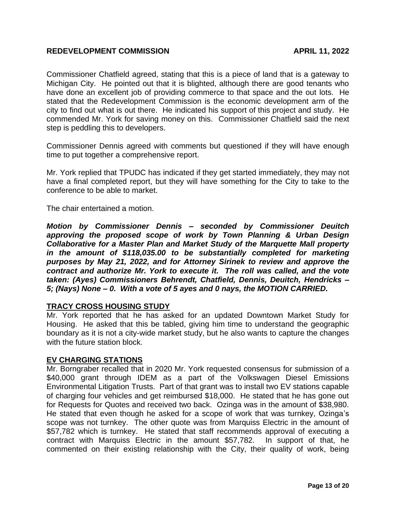Commissioner Chatfield agreed, stating that this is a piece of land that is a gateway to Michigan City. He pointed out that it is blighted, although there are good tenants who have done an excellent job of providing commerce to that space and the out lots. He stated that the Redevelopment Commission is the economic development arm of the city to find out what is out there. He indicated his support of this project and study. He commended Mr. York for saving money on this. Commissioner Chatfield said the next step is peddling this to developers.

Commissioner Dennis agreed with comments but questioned if they will have enough time to put together a comprehensive report.

Mr. York replied that TPUDC has indicated if they get started immediately, they may not have a final completed report, but they will have something for the City to take to the conference to be able to market.

The chair entertained a motion.

*Motion by Commissioner Dennis – seconded by Commissioner Deuitch approving the proposed scope of work by Town Planning & Urban Design Collaborative for a Master Plan and Market Study of the Marquette Mall property in the amount of \$118,035.00 to be substantially completed for marketing purposes by May 21, 2022, and for Attorney Sirinek to review and approve the contract and authorize Mr. York to execute it. The roll was called, and the vote taken: (Ayes) Commissioners Behrendt, Chatfield, Dennis, Deuitch, Hendricks – 5; (Nays) None – 0. With a vote of 5 ayes and 0 nays, the MOTION CARRIED.*

# **TRACY CROSS HOUSING STUDY**

Mr. York reported that he has asked for an updated Downtown Market Study for Housing. He asked that this be tabled, giving him time to understand the geographic boundary as it is not a city-wide market study, but he also wants to capture the changes with the future station block.

# **EV CHARGING STATIONS**

Mr. Borngraber recalled that in 2020 Mr. York requested consensus for submission of a \$40,000 grant through IDEM as a part of the Volkswagen Diesel Emissions Environmental Litigation Trusts. Part of that grant was to install two EV stations capable of charging four vehicles and get reimbursed \$18,000. He stated that he has gone out for Requests for Quotes and received two back. Ozinga was in the amount of \$38,980. He stated that even though he asked for a scope of work that was turnkey, Ozinga's scope was not turnkey. The other quote was from Marquiss Electric in the amount of \$57,782 which is turnkey. He stated that staff recommends approval of executing a contract with Marquiss Electric in the amount \$57,782. In support of that, he commented on their existing relationship with the City, their quality of work, being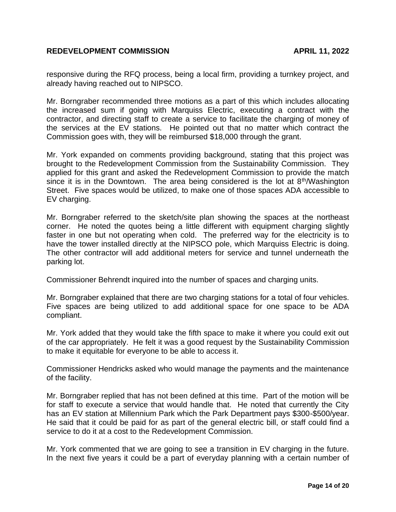responsive during the RFQ process, being a local firm, providing a turnkey project, and already having reached out to NIPSCO.

Mr. Borngraber recommended three motions as a part of this which includes allocating the increased sum if going with Marquiss Electric, executing a contract with the contractor, and directing staff to create a service to facilitate the charging of money of the services at the EV stations. He pointed out that no matter which contract the Commission goes with, they will be reimbursed \$18,000 through the grant.

Mr. York expanded on comments providing background, stating that this project was brought to the Redevelopment Commission from the Sustainability Commission. They applied for this grant and asked the Redevelopment Commission to provide the match since it is in the Downtown. The area being considered is the lot at  $8<sup>th</sup>/W$ ashington Street. Five spaces would be utilized, to make one of those spaces ADA accessible to EV charging.

Mr. Borngraber referred to the sketch/site plan showing the spaces at the northeast corner. He noted the quotes being a little different with equipment charging slightly faster in one but not operating when cold. The preferred way for the electricity is to have the tower installed directly at the NIPSCO pole, which Marquiss Electric is doing. The other contractor will add additional meters for service and tunnel underneath the parking lot.

Commissioner Behrendt inquired into the number of spaces and charging units.

Mr. Borngraber explained that there are two charging stations for a total of four vehicles. Five spaces are being utilized to add additional space for one space to be ADA compliant.

Mr. York added that they would take the fifth space to make it where you could exit out of the car appropriately. He felt it was a good request by the Sustainability Commission to make it equitable for everyone to be able to access it.

Commissioner Hendricks asked who would manage the payments and the maintenance of the facility.

Mr. Borngraber replied that has not been defined at this time. Part of the motion will be for staff to execute a service that would handle that. He noted that currently the City has an EV station at Millennium Park which the Park Department pays \$300-\$500/year. He said that it could be paid for as part of the general electric bill, or staff could find a service to do it at a cost to the Redevelopment Commission.

Mr. York commented that we are going to see a transition in EV charging in the future. In the next five years it could be a part of everyday planning with a certain number of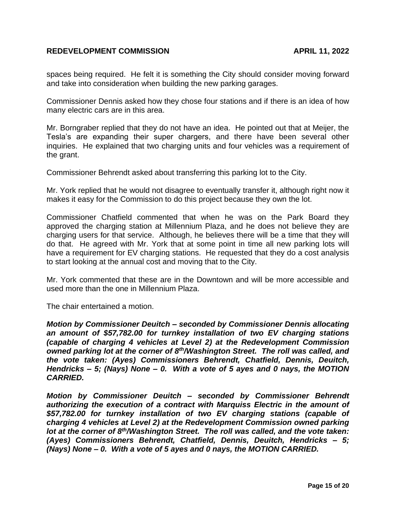spaces being required. He felt it is something the City should consider moving forward and take into consideration when building the new parking garages.

Commissioner Dennis asked how they chose four stations and if there is an idea of how many electric cars are in this area.

Mr. Borngraber replied that they do not have an idea. He pointed out that at Meijer, the Tesla's are expanding their super chargers, and there have been several other inquiries. He explained that two charging units and four vehicles was a requirement of the grant.

Commissioner Behrendt asked about transferring this parking lot to the City.

Mr. York replied that he would not disagree to eventually transfer it, although right now it makes it easy for the Commission to do this project because they own the lot.

Commissioner Chatfield commented that when he was on the Park Board they approved the charging station at Millennium Plaza, and he does not believe they are charging users for that service. Although, he believes there will be a time that they will do that. He agreed with Mr. York that at some point in time all new parking lots will have a requirement for EV charging stations. He requested that they do a cost analysis to start looking at the annual cost and moving that to the City.

Mr. York commented that these are in the Downtown and will be more accessible and used more than the one in Millennium Plaza.

The chair entertained a motion.

*Motion by Commissioner Deuitch – seconded by Commissioner Dennis allocating an amount of \$57,782.00 for turnkey installation of two EV charging stations (capable of charging 4 vehicles at Level 2) at the Redevelopment Commission owned parking lot at the corner of 8th/Washington Street. The roll was called, and the vote taken: (Ayes) Commissioners Behrendt, Chatfield, Dennis, Deuitch, Hendricks – 5; (Nays) None – 0. With a vote of 5 ayes and 0 nays, the MOTION CARRIED.*

*Motion by Commissioner Deuitch – seconded by Commissioner Behrendt authorizing the execution of a contract with Marquiss Electric in the amount of \$57,782.00 for turnkey installation of two EV charging stations (capable of charging 4 vehicles at Level 2) at the Redevelopment Commission owned parking lot at the corner of 8th/Washington Street. The roll was called, and the vote taken: (Ayes) Commissioners Behrendt, Chatfield, Dennis, Deuitch, Hendricks – 5; (Nays) None – 0. With a vote of 5 ayes and 0 nays, the MOTION CARRIED.*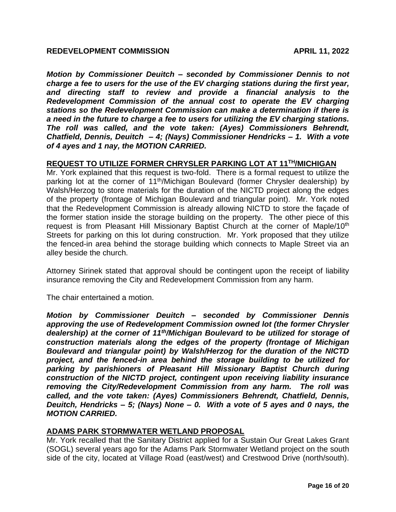*Motion by Commissioner Deuitch – seconded by Commissioner Dennis to not charge a fee to users for the use of the EV charging stations during the first year, and directing staff to review and provide a financial analysis to the Redevelopment Commission of the annual cost to operate the EV charging stations so the Redevelopment Commission can make a determination if there is a need in the future to charge a fee to users for utilizing the EV charging stations. The roll was called, and the vote taken: (Ayes) Commissioners Behrendt, Chatfield, Dennis, Deuitch – 4; (Nays) Commissioner Hendricks – 1. With a vote of 4 ayes and 1 nay, the MOTION CARRIED.*

#### **REQUEST TO UTILIZE FORMER CHRYSLER PARKING LOT AT 11TH/MICHIGAN**

Mr. York explained that this request is two-fold. There is a formal request to utilize the parking lot at the corner of 11<sup>th</sup>/Michigan Boulevard (former Chrysler dealership) by Walsh/Herzog to store materials for the duration of the NICTD project along the edges of the property (frontage of Michigan Boulevard and triangular point). Mr. York noted that the Redevelopment Commission is already allowing NICTD to store the façade of the former station inside the storage building on the property. The other piece of this request is from Pleasant Hill Missionary Baptist Church at the corner of Maple/10<sup>th</sup> Streets for parking on this lot during construction. Mr. York proposed that they utilize the fenced-in area behind the storage building which connects to Maple Street via an alley beside the church.

Attorney Sirinek stated that approval should be contingent upon the receipt of liability insurance removing the City and Redevelopment Commission from any harm.

The chair entertained a motion.

*Motion by Commissioner Deuitch – seconded by Commissioner Dennis approving the use of Redevelopment Commission owned lot (the former Chrysler dealership) at the corner of 11th/Michigan Boulevard to be utilized for storage of construction materials along the edges of the property (frontage of Michigan Boulevard and triangular point) by Walsh/Herzog for the duration of the NICTD project, and the fenced-in area behind the storage building to be utilized for parking by parishioners of Pleasant Hill Missionary Baptist Church during construction of the NICTD project, contingent upon receiving liability insurance removing the City/Redevelopment Commission from any harm. The roll was called, and the vote taken: (Ayes) Commissioners Behrendt, Chatfield, Dennis, Deuitch, Hendricks – 5; (Nays) None – 0. With a vote of 5 ayes and 0 nays, the MOTION CARRIED.*

# **ADAMS PARK STORMWATER WETLAND PROPOSAL**

Mr. York recalled that the Sanitary District applied for a Sustain Our Great Lakes Grant (SOGL) several years ago for the Adams Park Stormwater Wetland project on the south side of the city, located at Village Road (east/west) and Crestwood Drive (north/south).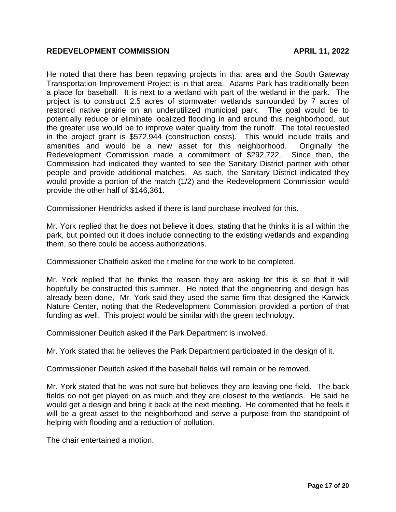He noted that there has been repaving projects in that area and the South Gateway Transportation Improvement Project is in that area. Adams Park has traditionally been a place for baseball. It is next to a wetland with part of the wetland in the park. The project is to construct 2.5 acres of stormwater wetlands surrounded by 7 acres of restored native prairie on an underutilized municipal park. The goal would be to potentially reduce or eliminate localized flooding in and around this neighborhood, but the greater use would be to improve water quality from the runoff. The total requested in the project grant is \$572,944 (construction costs). This would include trails and amenities and would be a new asset for this neighborhood. Originally the Redevelopment Commission made a commitment of \$292,722. Since then, the Commission had indicated they wanted to see the Sanitary District partner with other people and provide additional matches. As such, the Sanitary District indicated they would provide a portion of the match (1/2) and the Redevelopment Commission would provide the other half of \$146,361.

Commissioner Hendricks asked if there is land purchase involved for this.

Mr. York replied that he does not believe it does, stating that he thinks it is all within the park, but pointed out it does include connecting to the existing wetlands and expanding them, so there could be access authorizations.

Commissioner Chatfield asked the timeline for the work to be completed.

Mr. York replied that he thinks the reason they are asking for this is so that it will hopefully be constructed this summer. He noted that the engineering and design has already been done, Mr. York said they used the same firm that designed the Karwick Nature Center, noting that the Redevelopment Commission provided a portion of that funding as well. This project would be similar with the green technology.

Commissioner Deuitch asked if the Park Department is involved.

Mr. York stated that he believes the Park Department participated in the design of it.

Commissioner Deuitch asked if the baseball fields will remain or be removed.

Mr. York stated that he was not sure but believes they are leaving one field. The back fields do not get played on as much and they are closest to the wetlands. He said he would get a design and bring it back at the next meeting. He commented that he feels it will be a great asset to the neighborhood and serve a purpose from the standpoint of helping with flooding and a reduction of pollution.

The chair entertained a motion.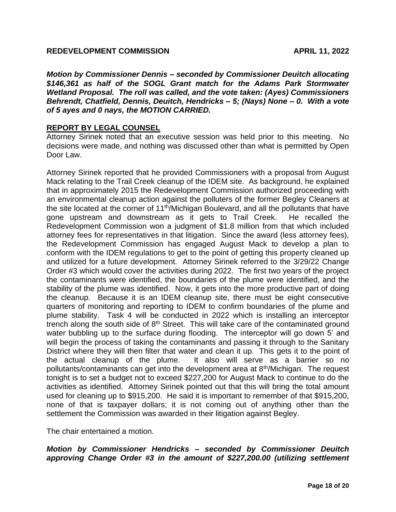*Motion by Commissioner Dennis – seconded by Commissioner Deuitch allocating \$146,361 as half of the SOGL Grant match for the Adams Park Stormwater Wetland Proposal. The roll was called, and the vote taken: (Ayes) Commissioners Behrendt, Chatfield, Dennis, Deuitch, Hendricks – 5; (Nays) None – 0. With a vote of 5 ayes and 0 nays, the MOTION CARRIED.*

# **REPORT BY LEGAL COUNSEL**

Attorney Sirinek noted that an executive session was held prior to this meeting. No decisions were made, and nothing was discussed other than what is permitted by Open Door Law.

Attorney Sirinek reported that he provided Commissioners with a proposal from August Mack relating to the Trail Creek cleanup of the IDEM site. As background, he explained that in approximately 2015 the Redevelopment Commission authorized proceeding with an environmental cleanup action against the polluters of the former Begley Cleaners at the site located at the corner of 11<sup>th</sup>/Michigan Boulevard, and all the pollutants that have gone upstream and downstream as it gets to Trail Creek. He recalled the Redevelopment Commission won a judgment of \$1.8 million from that which included attorney fees for representatives in that litigation. Since the award (less attorney fees), the Redevelopment Commission has engaged August Mack to develop a plan to conform with the IDEM regulations to get to the point of getting this property cleaned up and utilized for a future development. Attorney Sirinek referred to the 3/29/22 Change Order #3 which would cover the activities during 2022. The first two years of the project the contaminants were identified, the boundaries of the plume were identified, and the stability of the plume was identified. Now, it gets into the more productive part of doing the cleanup. Because it is an IDEM cleanup site, there must be eight consecutive quarters of monitoring and reporting to IDEM to confirm boundaries of the plume and plume stability. Task 4 will be conducted in 2022 which is installing an interceptor trench along the south side of  $8<sup>th</sup>$  Street. This will take care of the contaminated ground water bubbling up to the surface during flooding. The interceptor will go down 5' and will begin the process of taking the contaminants and passing it through to the Sanitary District where they will then filter that water and clean it up. This gets it to the point of the actual cleanup of the plume. It also will serve as a barrier so no pollutants/contaminants can get into the development area at 8<sup>th</sup>/Michigan. The request tonight is to set a budget not to exceed \$227,200 for August Mack to continue to do the activities as identified. Attorney Sirinek pointed out that this will bring the total amount used for cleaning up to \$915,200. He said it is important to remember of that \$915,200, none of that is taxpayer dollars; it is not coming out of anything other than the settlement the Commission was awarded in their litigation against Begley.

The chair entertained a motion.

*Motion by Commissioner Hendricks – seconded by Commissioner Deuitch approving Change Order #3 in the amount of \$227,200.00 (utilizing settlement*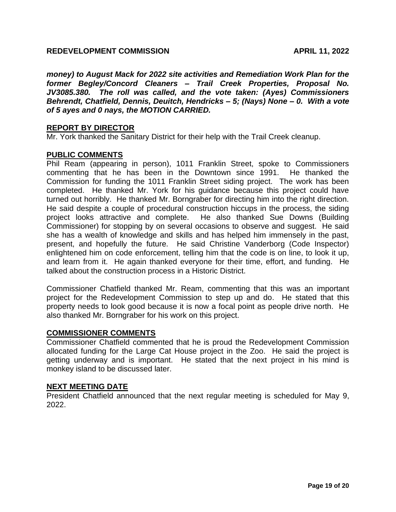*money) to August Mack for 2022 site activities and Remediation Work Plan for the former Begley/Concord Cleaners – Trail Creek Properties, Proposal No. JV3085.380. The roll was called, and the vote taken: (Ayes) Commissioners Behrendt, Chatfield, Dennis, Deuitch, Hendricks – 5; (Nays) None – 0. With a vote of 5 ayes and 0 nays, the MOTION CARRIED.*

# **REPORT BY DIRECTOR**

Mr. York thanked the Sanitary District for their help with the Trail Creek cleanup.

# **PUBLIC COMMENTS**

Phil Ream (appearing in person), 1011 Franklin Street, spoke to Commissioners commenting that he has been in the Downtown since 1991. He thanked the Commission for funding the 1011 Franklin Street siding project. The work has been completed. He thanked Mr. York for his guidance because this project could have turned out horribly. He thanked Mr. Borngraber for directing him into the right direction. He said despite a couple of procedural construction hiccups in the process, the siding project looks attractive and complete. He also thanked Sue Downs (Building Commissioner) for stopping by on several occasions to observe and suggest. He said she has a wealth of knowledge and skills and has helped him immensely in the past, present, and hopefully the future. He said Christine Vanderborg (Code Inspector) enlightened him on code enforcement, telling him that the code is on line, to look it up, and learn from it. He again thanked everyone for their time, effort, and funding. He talked about the construction process in a Historic District.

Commissioner Chatfield thanked Mr. Ream, commenting that this was an important project for the Redevelopment Commission to step up and do. He stated that this property needs to look good because it is now a focal point as people drive north. He also thanked Mr. Borngraber for his work on this project.

# **COMMISSIONER COMMENTS**

Commissioner Chatfield commented that he is proud the Redevelopment Commission allocated funding for the Large Cat House project in the Zoo. He said the project is getting underway and is important. He stated that the next project in his mind is monkey island to be discussed later.

# **NEXT MEETING DATE**

President Chatfield announced that the next regular meeting is scheduled for May 9, 2022.